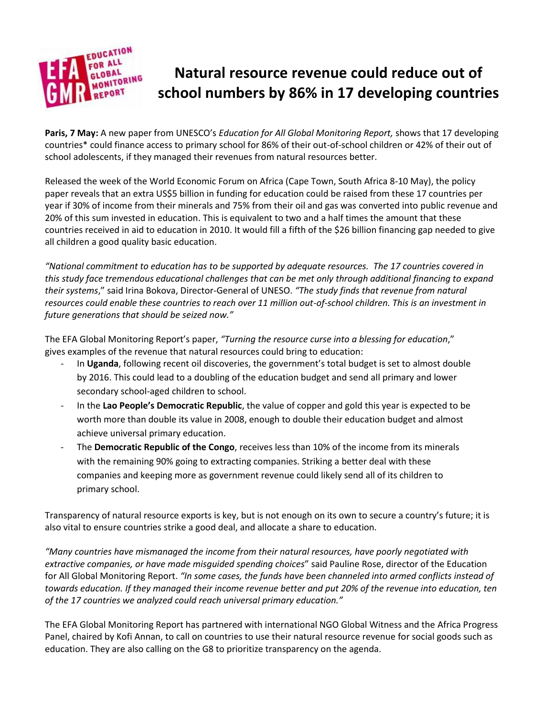

# **Natural resource revenue could reduce out of school numbers by 86% in 17 developing countries**

**Paris, 7 May:** A new paper from UNESCO's *Education for All Global Monitoring Report,* shows that 17 developing countries\* could finance access to primary school for 86% of their out-of-school children or 42% of their out of school adolescents, if they managed their revenues from natural resources better.

Released the week of the World Economic Forum on Africa (Cape Town, South Africa 8-10 May), the policy paper reveals that an extra US\$5 billion in funding for education could be raised from these 17 countries per year if 30% of income from their minerals and 75% from their oil and gas was converted into public revenue and 20% of this sum invested in education. This is equivalent to two and a half times the amount that these countries received in aid to education in 2010. It would fill a fifth of the \$26 billion financing gap needed to give all children a good quality basic education.

*"National commitment to education has to be supported by adequate resources. The 17 countries covered in this study face tremendous educational challenges that can be met only through additional financing to expand their systems*," said Irina Bokova, Director-General of UNESO. *"The study finds that revenue from natural resources could enable these countries to reach over 11 million out-of-school children. This is an investment in future generations that should be seized now."* 

The EFA Global Monitoring Report's paper, *"Turning the resource curse into a blessing for education*," gives examples of the revenue that natural resources could bring to education:

- In **Uganda**, following recent oil discoveries, the government's total budget is set to almost double by 2016. This could lead to a doubling of the education budget and send all primary and lower secondary school-aged children to school.
- In the **Lao People's Democratic Republic**, the value of copper and gold this year is expected to be worth more than double its value in 2008, enough to double their education budget and almost achieve universal primary education.
- The **Democratic Republic of the Congo**, receives less than 10% of the income from its minerals with the remaining 90% going to extracting companies. Striking a better deal with these companies and keeping more as government revenue could likely send all of its children to primary school.

Transparency of natural resource exports is key, but is not enough on its own to secure a country's future; it is also vital to ensure countries strike a good deal, and allocate a share to education.

*"Many countries have mismanaged the income from their natural resources, have poorly negotiated with extractive companies, or have made misguided spending choices*" said Pauline Rose, director of the Education for All Global Monitoring Report. *"In some cases, the funds have been channeled into armed conflicts instead of towards education. If they managed their income revenue better and put 20% of the revenue into education, ten of the 17 countries we analyzed could reach universal primary education."*

The EFA Global Monitoring Report has partnered with international NGO Global Witness and the Africa Progress Panel, chaired by Kofi Annan, to call on countries to use their natural resource revenue for social goods such as education. They are also calling on the G8 to prioritize transparency on the agenda.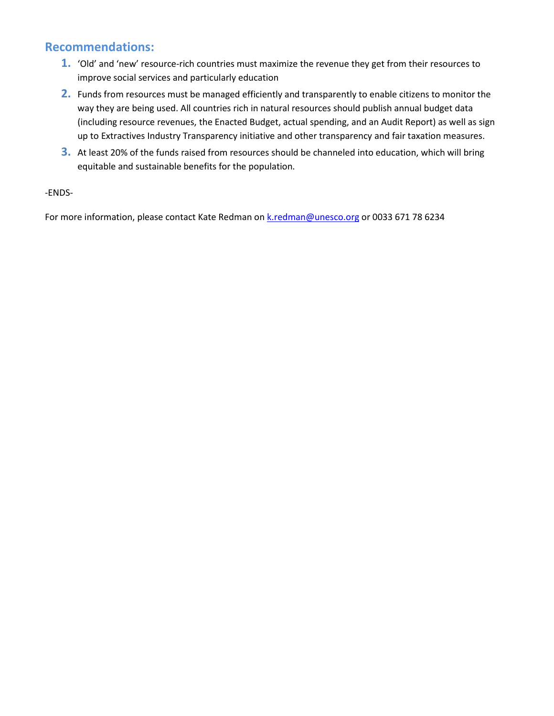## **Recommendations:**

- **1.** 'Old' and 'new' resource-rich countries must maximize the revenue they get from their resources to improve social services and particularly education
- **2.** Funds from resources must be managed efficiently and transparently to enable citizens to monitor the way they are being used. All countries rich in natural resources should publish annual budget data (including resource revenues, the Enacted Budget, actual spending, and an Audit Report) as well as sign up to Extractives Industry Transparency initiative and other transparency and fair taxation measures.
- **3.** At least 20% of the funds raised from resources should be channeled into education, which will bring equitable and sustainable benefits for the population.

### -ENDS-

For more information, please contact Kate Redman on [k.redman@unesco.org](mailto:k.redman@unesco.org) or 0033 671 78 6234